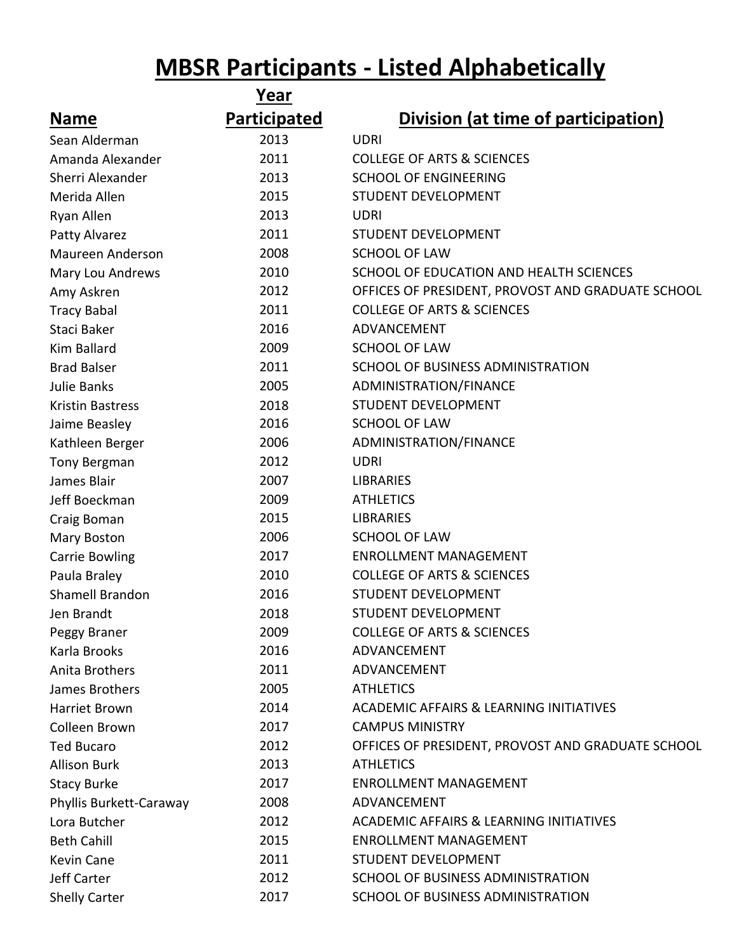## **MBSR Participants - Listed Alphabetically**

|                         | <b>Year</b>  |                                                    |
|-------------------------|--------------|----------------------------------------------------|
| <b>Name</b>             | Participated | Division (at time of participation)                |
| Sean Alderman           | 2013         | <b>UDRI</b>                                        |
| Amanda Alexander        | 2011         | <b>COLLEGE OF ARTS &amp; SCIENCES</b>              |
| Sherri Alexander        | 2013         | <b>SCHOOL OF ENGINEERING</b>                       |
| Merida Allen            | 2015         | <b>STUDENT DEVELOPMENT</b>                         |
| Ryan Allen              | 2013         | <b>UDRI</b>                                        |
| Patty Alvarez           | 2011         | <b>STUDENT DEVELOPMENT</b>                         |
| Maureen Anderson        | 2008         | <b>SCHOOL OF LAW</b>                               |
| Mary Lou Andrews        | 2010         | SCHOOL OF EDUCATION AND HEALTH SCIENCES            |
| Amy Askren              | 2012         | OFFICES OF PRESIDENT, PROVOST AND GRADUATE SCHOOL  |
| <b>Tracy Babal</b>      | 2011         | <b>COLLEGE OF ARTS &amp; SCIENCES</b>              |
| Staci Baker             | 2016         | ADVANCEMENT                                        |
| Kim Ballard             | 2009         | <b>SCHOOL OF LAW</b>                               |
| <b>Brad Balser</b>      | 2011         | SCHOOL OF BUSINESS ADMINISTRATION                  |
| <b>Julie Banks</b>      | 2005         | ADMINISTRATION/FINANCE                             |
| <b>Kristin Bastress</b> | 2018         | <b>STUDENT DEVELOPMENT</b>                         |
| Jaime Beasley           | 2016         | <b>SCHOOL OF LAW</b>                               |
| Kathleen Berger         | 2006         | ADMINISTRATION/FINANCE                             |
| Tony Bergman            | 2012         | <b>UDRI</b>                                        |
| James Blair             | 2007         | <b>LIBRARIES</b>                                   |
| Jeff Boeckman           | 2009         | <b>ATHLETICS</b>                                   |
| Craig Boman             | 2015         | <b>LIBRARIES</b>                                   |
| Mary Boston             | 2006         | <b>SCHOOL OF LAW</b>                               |
| <b>Carrie Bowling</b>   | 2017         | <b>ENROLLMENT MANAGEMENT</b>                       |
| Paula Braley            | 2010         | <b>COLLEGE OF ARTS &amp; SCIENCES</b>              |
| Shamell Brandon         | 2016         | <b>STUDENT DEVELOPMENT</b>                         |
| Jen Brandt              | 2018         | <b>STUDENT DEVELOPMENT</b>                         |
| Peggy Braner            | 2009         | <b>COLLEGE OF ARTS &amp; SCIENCES</b>              |
| Karla Brooks            | 2016         | ADVANCEMENT                                        |
| Anita Brothers          | 2011         | ADVANCEMENT                                        |
| James Brothers          | 2005         | <b>ATHLETICS</b>                                   |
| Harriet Brown           | 2014         | <b>ACADEMIC AFFAIRS &amp; LEARNING INITIATIVES</b> |
| Colleen Brown           | 2017         | <b>CAMPUS MINISTRY</b>                             |
| <b>Ted Bucaro</b>       | 2012         | OFFICES OF PRESIDENT, PROVOST AND GRADUATE SCHOOL  |
| <b>Allison Burk</b>     | 2013         | <b>ATHLETICS</b>                                   |
| <b>Stacy Burke</b>      | 2017         | <b>ENROLLMENT MANAGEMENT</b>                       |
| Phyllis Burkett-Caraway | 2008         | ADVANCEMENT                                        |
| Lora Butcher            | 2012         | <b>ACADEMIC AFFAIRS &amp; LEARNING INITIATIVES</b> |
| <b>Beth Cahill</b>      | 2015         | <b>ENROLLMENT MANAGEMENT</b>                       |
| Kevin Cane              | 2011         | STUDENT DEVELOPMENT                                |
| <b>Jeff Carter</b>      | 2012         | SCHOOL OF BUSINESS ADMINISTRATION                  |
| <b>Shelly Carter</b>    | 2017         | SCHOOL OF BUSINESS ADMINISTRATION                  |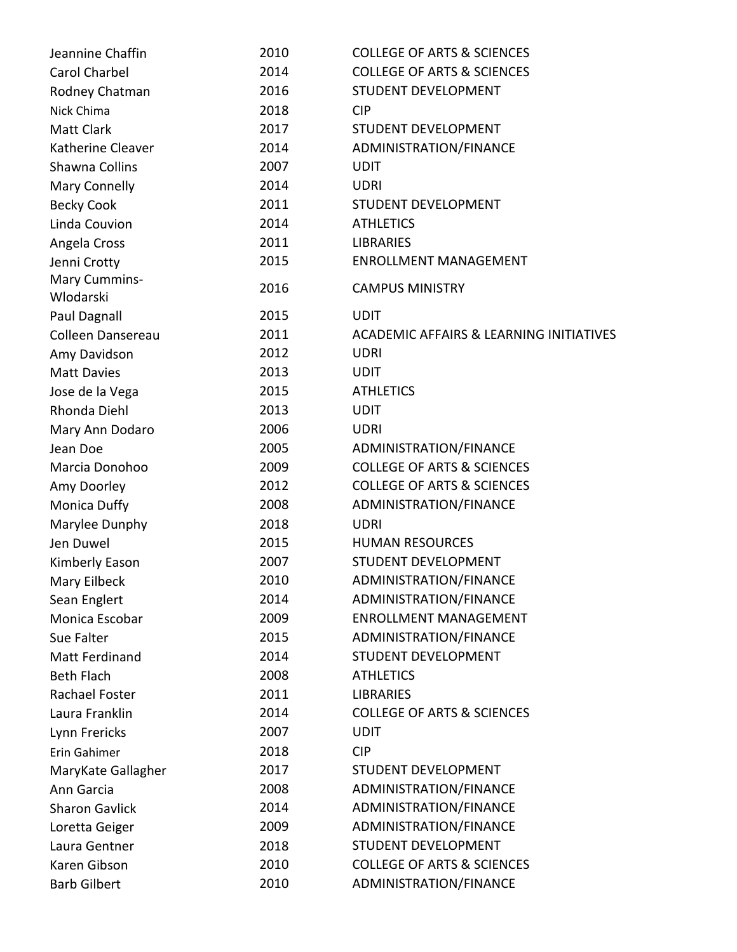| Jeannine Chaffin           | 2010 | <b>COLLEGE OF ARTS &amp; SCIENCES</b>              |
|----------------------------|------|----------------------------------------------------|
| Carol Charbel              | 2014 | <b>COLLEGE OF ARTS &amp; SCIENCES</b>              |
| Rodney Chatman             | 2016 | STUDENT DEVELOPMENT                                |
| Nick Chima                 | 2018 | <b>CIP</b>                                         |
| <b>Matt Clark</b>          | 2017 | STUDENT DEVELOPMENT                                |
| Katherine Cleaver          | 2014 | ADMINISTRATION/FINANCE                             |
| Shawna Collins             | 2007 | <b>UDIT</b>                                        |
| <b>Mary Connelly</b>       | 2014 | <b>UDRI</b>                                        |
| <b>Becky Cook</b>          | 2011 | STUDENT DEVELOPMENT                                |
| Linda Couvion              | 2014 | <b>ATHLETICS</b>                                   |
| Angela Cross               | 2011 | <b>LIBRARIES</b>                                   |
| Jenni Crotty               | 2015 | <b>ENROLLMENT MANAGEMENT</b>                       |
| Mary Cummins-<br>Wlodarski | 2016 | <b>CAMPUS MINISTRY</b>                             |
| Paul Dagnall               | 2015 | <b>UDIT</b>                                        |
| Colleen Dansereau          | 2011 | <b>ACADEMIC AFFAIRS &amp; LEARNING INITIATIVES</b> |
| Amy Davidson               | 2012 | <b>UDRI</b>                                        |
| <b>Matt Davies</b>         | 2013 | <b>UDIT</b>                                        |
| Jose de la Vega            | 2015 | <b>ATHLETICS</b>                                   |
| Rhonda Diehl               | 2013 | <b>UDIT</b>                                        |
| Mary Ann Dodaro            | 2006 | <b>UDRI</b>                                        |
| Jean Doe                   | 2005 | ADMINISTRATION/FINANCE                             |
| Marcia Donohoo             | 2009 | <b>COLLEGE OF ARTS &amp; SCIENCES</b>              |
| Amy Doorley                | 2012 | <b>COLLEGE OF ARTS &amp; SCIENCES</b>              |
| Monica Duffy               | 2008 | ADMINISTRATION/FINANCE                             |
| Marylee Dunphy             | 2018 | <b>UDRI</b>                                        |
| Jen Duwel                  | 2015 | <b>HUMAN RESOURCES</b>                             |
| Kimberly Eason             | 2007 | <b>STUDENT DEVELOPMENT</b>                         |
| Mary Eilbeck               | 2010 | ADMINISTRATION/FINANCE                             |
| Sean Englert               | 2014 | ADMINISTRATION/FINANCE                             |
| Monica Escobar             | 2009 | <b>ENROLLMENT MANAGEMENT</b>                       |
| Sue Falter                 | 2015 | ADMINISTRATION/FINANCE                             |
| <b>Matt Ferdinand</b>      | 2014 | STUDENT DEVELOPMENT                                |
| <b>Beth Flach</b>          | 2008 | <b>ATHLETICS</b>                                   |
| Rachael Foster             | 2011 | <b>LIBRARIES</b>                                   |
| Laura Franklin             | 2014 | <b>COLLEGE OF ARTS &amp; SCIENCES</b>              |
| Lynn Frericks              | 2007 | <b>UDIT</b>                                        |
| Erin Gahimer               | 2018 | <b>CIP</b>                                         |
| MaryKate Gallagher         | 2017 | STUDENT DEVELOPMENT                                |
| Ann Garcia                 | 2008 | ADMINISTRATION/FINANCE                             |
| <b>Sharon Gavlick</b>      | 2014 | ADMINISTRATION/FINANCE                             |
| Loretta Geiger             | 2009 | ADMINISTRATION/FINANCE                             |
| Laura Gentner              | 2018 | STUDENT DEVELOPMENT                                |
| Karen Gibson               | 2010 | <b>COLLEGE OF ARTS &amp; SCIENCES</b>              |
| <b>Barb Gilbert</b>        | 2010 | ADMINISTRATION/FINANCE                             |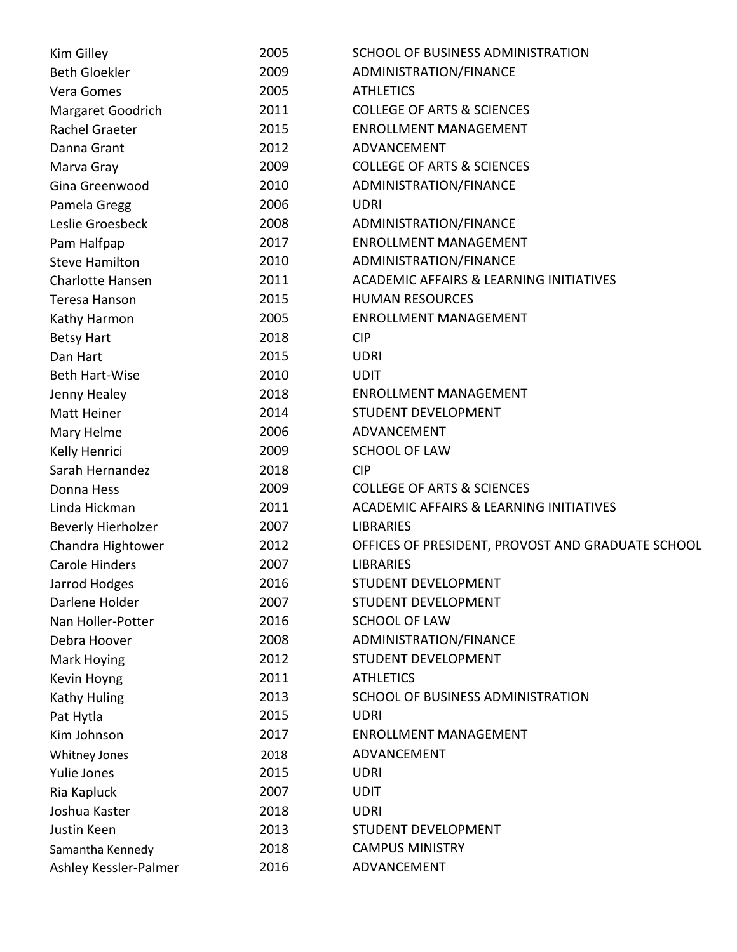| Kim Gilley              | 2005 | SCHOOL OF BUSINESS ADMINISTRATION                  |
|-------------------------|------|----------------------------------------------------|
| <b>Beth Gloekler</b>    | 2009 | ADMINISTRATION/FINANCE                             |
| Vera Gomes              | 2005 | <b>ATHLETICS</b>                                   |
| Margaret Goodrich       | 2011 | <b>COLLEGE OF ARTS &amp; SCIENCES</b>              |
| Rachel Graeter          | 2015 | <b>ENROLLMENT MANAGEMENT</b>                       |
| Danna Grant             | 2012 | ADVANCEMENT                                        |
| Marva Gray              | 2009 | <b>COLLEGE OF ARTS &amp; SCIENCES</b>              |
| Gina Greenwood          | 2010 | ADMINISTRATION/FINANCE                             |
| Pamela Gregg            | 2006 | <b>UDRI</b>                                        |
| Leslie Groesbeck        | 2008 | ADMINISTRATION/FINANCE                             |
| Pam Halfpap             | 2017 | <b>ENROLLMENT MANAGEMENT</b>                       |
| <b>Steve Hamilton</b>   | 2010 | ADMINISTRATION/FINANCE                             |
| <b>Charlotte Hansen</b> | 2011 | <b>ACADEMIC AFFAIRS &amp; LEARNING INITIATIVES</b> |
| <b>Teresa Hanson</b>    | 2015 | <b>HUMAN RESOURCES</b>                             |
| Kathy Harmon            | 2005 | <b>ENROLLMENT MANAGEMENT</b>                       |
| <b>Betsy Hart</b>       | 2018 | <b>CIP</b>                                         |
| Dan Hart                | 2015 | <b>UDRI</b>                                        |
| Beth Hart-Wise          | 2010 | <b>UDIT</b>                                        |
| Jenny Healey            | 2018 | <b>ENROLLMENT MANAGEMENT</b>                       |
| <b>Matt Heiner</b>      | 2014 | STUDENT DEVELOPMENT                                |
| Mary Helme              | 2006 | ADVANCEMENT                                        |
| Kelly Henrici           | 2009 | <b>SCHOOL OF LAW</b>                               |
| Sarah Hernandez         | 2018 | <b>CIP</b>                                         |
| Donna Hess              | 2009 | <b>COLLEGE OF ARTS &amp; SCIENCES</b>              |
| Linda Hickman           | 2011 | <b>ACADEMIC AFFAIRS &amp; LEARNING INITIATIVES</b> |
| Beverly Hierholzer      | 2007 | <b>LIBRARIES</b>                                   |
| Chandra Hightower       | 2012 | OFFICES OF PRESIDENT, PROVOST AND GRADUATE SCHOOL  |
| <b>Carole Hinders</b>   | 2007 | <b>LIBRARIES</b>                                   |
| Jarrod Hodges           | 2016 | STUDENT DEVELOPMENT                                |
| Darlene Holder          | 2007 | STUDENT DEVELOPMENT                                |
| Nan Holler-Potter       | 2016 | <b>SCHOOL OF LAW</b>                               |
| Debra Hoover            | 2008 | ADMINISTRATION/FINANCE                             |
| Mark Hoying             | 2012 | <b>STUDENT DEVELOPMENT</b>                         |
| Kevin Hoyng             | 2011 | <b>ATHLETICS</b>                                   |
| <b>Kathy Huling</b>     | 2013 | SCHOOL OF BUSINESS ADMINISTRATION                  |
| Pat Hytla               | 2015 | <b>UDRI</b>                                        |
| Kim Johnson             | 2017 | <b>ENROLLMENT MANAGEMENT</b>                       |
| <b>Whitney Jones</b>    | 2018 | ADVANCEMENT                                        |
| Yulie Jones             | 2015 | <b>UDRI</b>                                        |
| Ria Kapluck             | 2007 | <b>UDIT</b>                                        |
| Joshua Kaster           | 2018 | <b>UDRI</b>                                        |
| Justin Keen             | 2013 | STUDENT DEVELOPMENT                                |
| Samantha Kennedy        | 2018 | <b>CAMPUS MINISTRY</b>                             |
| Ashley Kessler-Palmer   | 2016 | ADVANCEMENT                                        |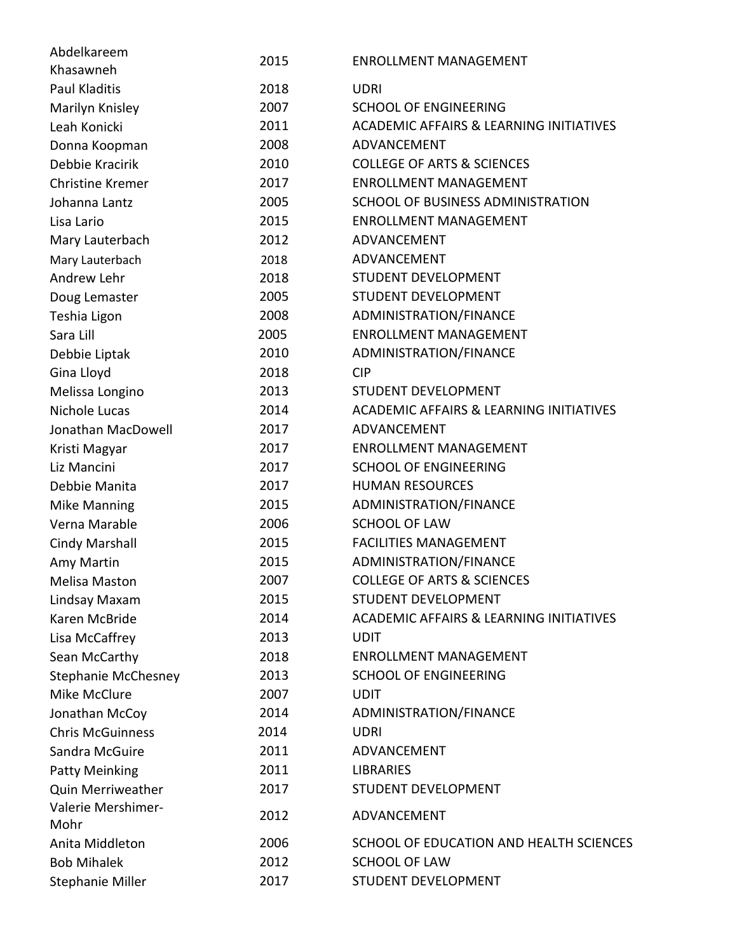| Abdelkareem                | 2015 | <b>ENROLLMENT MANAGEMENT</b>                       |
|----------------------------|------|----------------------------------------------------|
| Khasawneh                  |      |                                                    |
| <b>Paul Kladitis</b>       | 2018 | <b>UDRI</b>                                        |
| Marilyn Knisley            | 2007 | <b>SCHOOL OF ENGINEERING</b>                       |
| Leah Konicki               | 2011 | <b>ACADEMIC AFFAIRS &amp; LEARNING INITIATIVES</b> |
| Donna Koopman              | 2008 | ADVANCEMENT                                        |
| Debbie Kracirik            | 2010 | <b>COLLEGE OF ARTS &amp; SCIENCES</b>              |
| <b>Christine Kremer</b>    | 2017 | <b>ENROLLMENT MANAGEMENT</b>                       |
| Johanna Lantz              | 2005 | SCHOOL OF BUSINESS ADMINISTRATION                  |
| Lisa Lario                 | 2015 | <b>ENROLLMENT MANAGEMENT</b>                       |
| Mary Lauterbach            | 2012 | ADVANCEMENT                                        |
| Mary Lauterbach            | 2018 | ADVANCEMENT                                        |
| Andrew Lehr                | 2018 | STUDENT DEVELOPMENT                                |
| Doug Lemaster              | 2005 | STUDENT DEVELOPMENT                                |
| Teshia Ligon               | 2008 | ADMINISTRATION/FINANCE                             |
| Sara Lill                  | 2005 | <b>ENROLLMENT MANAGEMENT</b>                       |
| Debbie Liptak              | 2010 | ADMINISTRATION/FINANCE                             |
| Gina Lloyd                 | 2018 | <b>CIP</b>                                         |
| Melissa Longino            | 2013 | <b>STUDENT DEVELOPMENT</b>                         |
| Nichole Lucas              | 2014 | <b>ACADEMIC AFFAIRS &amp; LEARNING INITIATIVES</b> |
| Jonathan MacDowell         | 2017 | ADVANCEMENT                                        |
| Kristi Magyar              | 2017 | <b>ENROLLMENT MANAGEMENT</b>                       |
| Liz Mancini                | 2017 | <b>SCHOOL OF ENGINEERING</b>                       |
| Debbie Manita              | 2017 | <b>HUMAN RESOURCES</b>                             |
| <b>Mike Manning</b>        | 2015 | ADMINISTRATION/FINANCE                             |
| Verna Marable              | 2006 | <b>SCHOOL OF LAW</b>                               |
| Cindy Marshall             | 2015 | <b>FACILITIES MANAGEMENT</b>                       |
| Amy Martin                 | 2015 | ADMINISTRATION/FINANCE                             |
| Melisa Maston              | 2007 | <b>COLLEGE OF ARTS &amp; SCIENCES</b>              |
| Lindsay Maxam              | 2015 | <b>STUDENT DEVELOPMENT</b>                         |
| Karen McBride              | 2014 | <b>ACADEMIC AFFAIRS &amp; LEARNING INITIATIVES</b> |
| Lisa McCaffrey             | 2013 | <b>UDIT</b>                                        |
| Sean McCarthy              | 2018 | <b>ENROLLMENT MANAGEMENT</b>                       |
| <b>Stephanie McChesney</b> | 2013 | <b>SCHOOL OF ENGINEERING</b>                       |
| Mike McClure               | 2007 | <b>UDIT</b>                                        |
| Jonathan McCoy             | 2014 | ADMINISTRATION/FINANCE                             |
| <b>Chris McGuinness</b>    | 2014 | <b>UDRI</b>                                        |
| Sandra McGuire             | 2011 | ADVANCEMENT                                        |
| <b>Patty Meinking</b>      | 2011 | <b>LIBRARIES</b>                                   |
| <b>Quin Merriweather</b>   | 2017 | <b>STUDENT DEVELOPMENT</b>                         |
| Valerie Mershimer-         | 2012 | ADVANCEMENT                                        |
| Mohr                       |      |                                                    |
| Anita Middleton            | 2006 | SCHOOL OF EDUCATION AND HEALTH SCIENCES            |
| <b>Bob Mihalek</b>         | 2012 | <b>SCHOOL OF LAW</b>                               |
| <b>Stephanie Miller</b>    | 2017 | STUDENT DEVELOPMENT                                |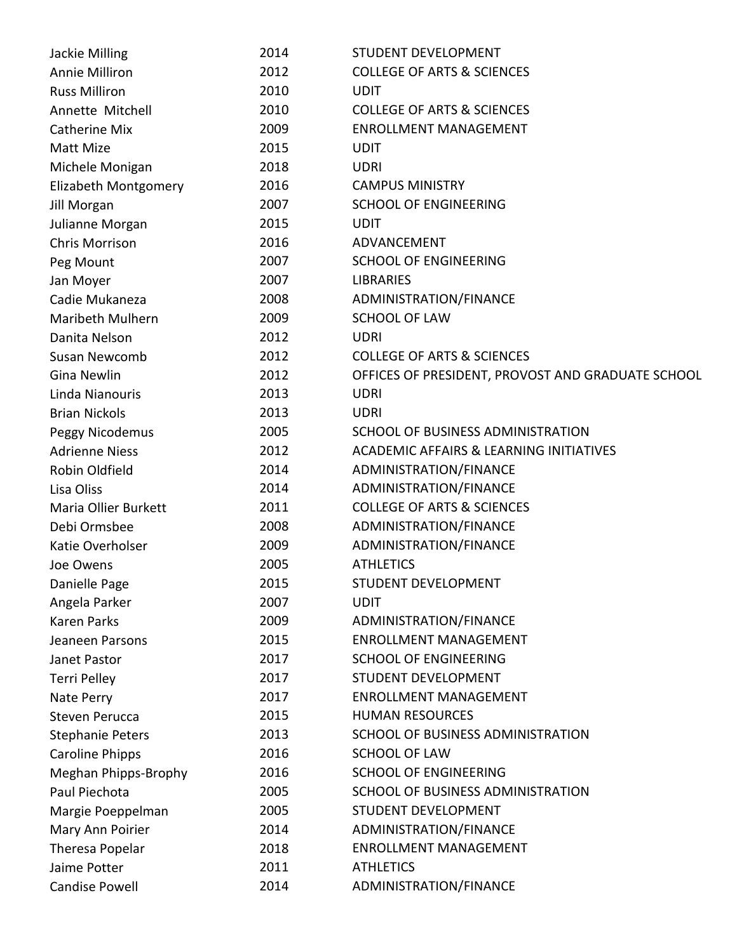| Jackie Milling          | 2014 | <b>STUDENT DEVELOPMENT</b>                         |
|-------------------------|------|----------------------------------------------------|
| Annie Milliron          | 2012 | <b>COLLEGE OF ARTS &amp; SCIENCES</b>              |
| <b>Russ Milliron</b>    | 2010 | <b>UDIT</b>                                        |
| Annette Mitchell        | 2010 | <b>COLLEGE OF ARTS &amp; SCIENCES</b>              |
| <b>Catherine Mix</b>    | 2009 | <b>ENROLLMENT MANAGEMENT</b>                       |
| Matt Mize               | 2015 | <b>UDIT</b>                                        |
| Michele Monigan         | 2018 | <b>UDRI</b>                                        |
| Elizabeth Montgomery    | 2016 | <b>CAMPUS MINISTRY</b>                             |
| Jill Morgan             | 2007 | <b>SCHOOL OF ENGINEERING</b>                       |
| Julianne Morgan         | 2015 | <b>UDIT</b>                                        |
| Chris Morrison          | 2016 | ADVANCEMENT                                        |
| Peg Mount               | 2007 | <b>SCHOOL OF ENGINEERING</b>                       |
| Jan Moyer               | 2007 | <b>LIBRARIES</b>                                   |
| Cadie Mukaneza          | 2008 | ADMINISTRATION/FINANCE                             |
| Maribeth Mulhern        | 2009 | <b>SCHOOL OF LAW</b>                               |
| Danita Nelson           | 2012 | <b>UDRI</b>                                        |
| Susan Newcomb           | 2012 | <b>COLLEGE OF ARTS &amp; SCIENCES</b>              |
| <b>Gina Newlin</b>      | 2012 | OFFICES OF PRESIDENT, PROVOST AND GRADUATE SCHOOL  |
| Linda Nianouris         | 2013 | <b>UDRI</b>                                        |
| <b>Brian Nickols</b>    | 2013 | <b>UDRI</b>                                        |
| Peggy Nicodemus         | 2005 | SCHOOL OF BUSINESS ADMINISTRATION                  |
| <b>Adrienne Niess</b>   | 2012 | <b>ACADEMIC AFFAIRS &amp; LEARNING INITIATIVES</b> |
| Robin Oldfield          | 2014 | ADMINISTRATION/FINANCE                             |
| Lisa Oliss              | 2014 | ADMINISTRATION/FINANCE                             |
| Maria Ollier Burkett    | 2011 | <b>COLLEGE OF ARTS &amp; SCIENCES</b>              |
| Debi Ormsbee            | 2008 | ADMINISTRATION/FINANCE                             |
| Katie Overholser        | 2009 | ADMINISTRATION/FINANCE                             |
| Joe Owens               | 2005 | <b>ATHLETICS</b>                                   |
| Danielle Page           | 2015 | <b>STUDENT DEVELOPMENT</b>                         |
| Angela Parker           | 2007 | <b>UDIT</b>                                        |
| <b>Karen Parks</b>      | 2009 | ADMINISTRATION/FINANCE                             |
| Jeaneen Parsons         | 2015 | <b>ENROLLMENT MANAGEMENT</b>                       |
| Janet Pastor            | 2017 | <b>SCHOOL OF ENGINEERING</b>                       |
| <b>Terri Pelley</b>     | 2017 | STUDENT DEVELOPMENT                                |
| Nate Perry              | 2017 | <b>ENROLLMENT MANAGEMENT</b>                       |
| <b>Steven Perucca</b>   | 2015 | <b>HUMAN RESOURCES</b>                             |
| <b>Stephanie Peters</b> | 2013 | SCHOOL OF BUSINESS ADMINISTRATION                  |
| <b>Caroline Phipps</b>  | 2016 | <b>SCHOOL OF LAW</b>                               |
| Meghan Phipps-Brophy    | 2016 | <b>SCHOOL OF ENGINEERING</b>                       |
| Paul Piechota           | 2005 | SCHOOL OF BUSINESS ADMINISTRATION                  |
| Margie Poeppelman       | 2005 | STUDENT DEVELOPMENT                                |
| Mary Ann Poirier        | 2014 | ADMINISTRATION/FINANCE                             |
| Theresa Popelar         | 2018 | <b>ENROLLMENT MANAGEMENT</b>                       |
| Jaime Potter            | 2011 | <b>ATHLETICS</b>                                   |
| <b>Candise Powell</b>   | 2014 | ADMINISTRATION/FINANCE                             |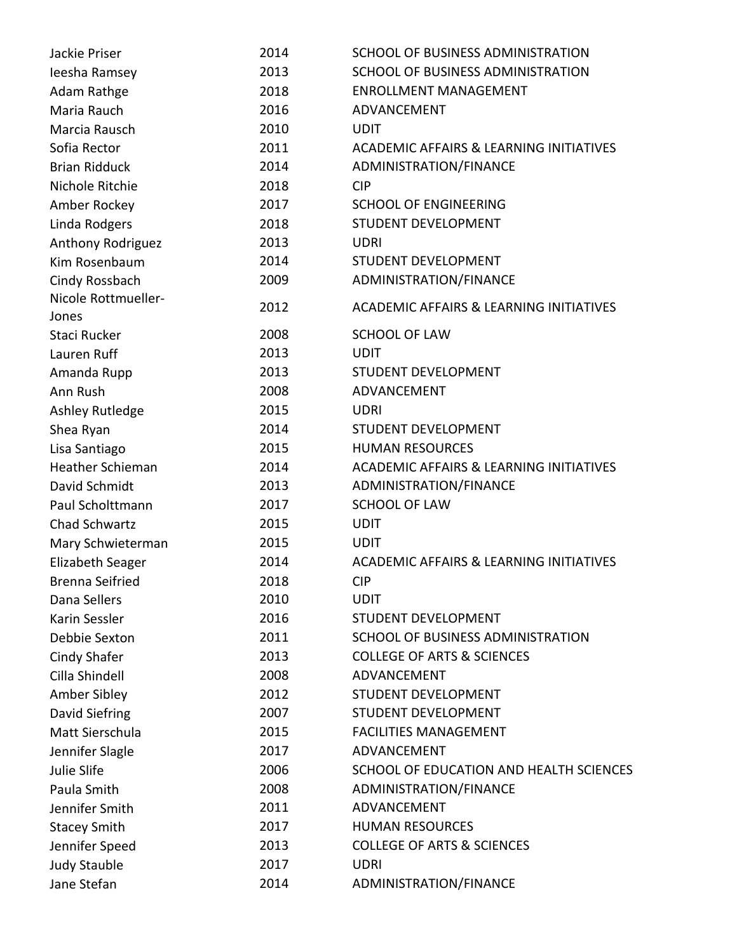| Jackie Priser                | 2014 | SCHOOL OF BUSINESS ADMINISTRATION                  |
|------------------------------|------|----------------------------------------------------|
| leesha Ramsey                | 2013 | SCHOOL OF BUSINESS ADMINISTRATION                  |
| Adam Rathge                  | 2018 | <b>ENROLLMENT MANAGEMENT</b>                       |
| Maria Rauch                  | 2016 | ADVANCEMENT                                        |
| Marcia Rausch                | 2010 | <b>UDIT</b>                                        |
| Sofia Rector                 | 2011 | <b>ACADEMIC AFFAIRS &amp; LEARNING INITIATIVES</b> |
| <b>Brian Ridduck</b>         | 2014 | ADMINISTRATION/FINANCE                             |
| Nichole Ritchie              | 2018 | <b>CIP</b>                                         |
| Amber Rockey                 | 2017 | <b>SCHOOL OF ENGINEERING</b>                       |
| Linda Rodgers                | 2018 | STUDENT DEVELOPMENT                                |
| Anthony Rodriguez            | 2013 | <b>UDRI</b>                                        |
| Kim Rosenbaum                | 2014 | <b>STUDENT DEVELOPMENT</b>                         |
| Cindy Rossbach               | 2009 | ADMINISTRATION/FINANCE                             |
| Nicole Rottmueller-<br>Jones | 2012 | <b>ACADEMIC AFFAIRS &amp; LEARNING INITIATIVES</b> |
| Staci Rucker                 | 2008 | <b>SCHOOL OF LAW</b>                               |
| Lauren Ruff                  | 2013 | <b>UDIT</b>                                        |
| Amanda Rupp                  | 2013 | STUDENT DEVELOPMENT                                |
| Ann Rush                     | 2008 | ADVANCEMENT                                        |
| <b>Ashley Rutledge</b>       | 2015 | <b>UDRI</b>                                        |
| Shea Ryan                    | 2014 | <b>STUDENT DEVELOPMENT</b>                         |
| Lisa Santiago                | 2015 | <b>HUMAN RESOURCES</b>                             |
| <b>Heather Schieman</b>      | 2014 | <b>ACADEMIC AFFAIRS &amp; LEARNING INITIATIVES</b> |
| David Schmidt                | 2013 | ADMINISTRATION/FINANCE                             |
| Paul Scholttmann             | 2017 | <b>SCHOOL OF LAW</b>                               |
| Chad Schwartz                | 2015 | <b>UDIT</b>                                        |
| Mary Schwieterman            | 2015 | <b>UDIT</b>                                        |
| Elizabeth Seager             | 2014 | <b>ACADEMIC AFFAIRS &amp; LEARNING INITIATIVES</b> |
| <b>Brenna Seifried</b>       | 2018 | <b>CIP</b>                                         |
| Dana Sellers                 | 2010 | <b>UDIT</b>                                        |
| Karin Sessler                | 2016 | <b>STUDENT DEVELOPMENT</b>                         |
| Debbie Sexton                | 2011 | SCHOOL OF BUSINESS ADMINISTRATION                  |
| <b>Cindy Shafer</b>          | 2013 | <b>COLLEGE OF ARTS &amp; SCIENCES</b>              |
| Cilla Shindell               | 2008 | ADVANCEMENT                                        |
| Amber Sibley                 | 2012 | <b>STUDENT DEVELOPMENT</b>                         |
| David Siefring               | 2007 | STUDENT DEVELOPMENT                                |
| Matt Sierschula              | 2015 | <b>FACILITIES MANAGEMENT</b>                       |
| Jennifer Slagle              | 2017 | ADVANCEMENT                                        |
| Julie Slife                  | 2006 | SCHOOL OF EDUCATION AND HEALTH SCIENCES            |
| Paula Smith                  | 2008 | ADMINISTRATION/FINANCE                             |
| Jennifer Smith               | 2011 | ADVANCEMENT                                        |
| <b>Stacey Smith</b>          | 2017 | <b>HUMAN RESOURCES</b>                             |
| Jennifer Speed               | 2013 | <b>COLLEGE OF ARTS &amp; SCIENCES</b>              |
| <b>Judy Stauble</b>          | 2017 | <b>UDRI</b>                                        |
| Jane Stefan                  | 2014 | ADMINISTRATION/FINANCE                             |